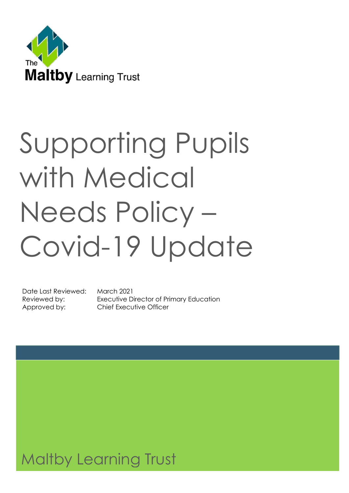

# Supporting Pupils with Medical Needs Policy – Covid-19 Update

Date Last Reviewed: March 2021

Reviewed by: Executive Director of Primary Education Approved by: Chief Executive Officer

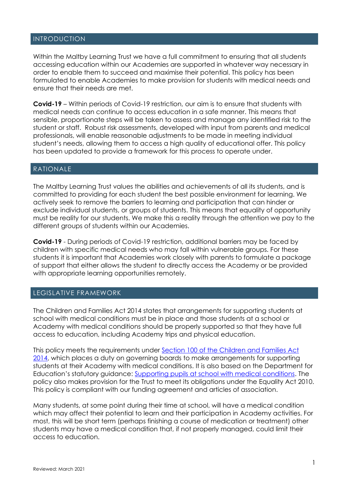#### INTRODUCTION

Within the Maltby Learning Trust we have a full commitment to ensuring that all students accessing education within our Academies are supported in whatever way necessary in order to enable them to succeed and maximise their potential. This policy has been formulated to enable Academies to make provision for students with medical needs and ensure that their needs are met.

**Covid-19** – Within periods of Covid-19 restriction, our aim is to ensure that students with medical needs can continue to access education in a safe manner. This means that sensible, proportionate steps will be taken to assess and manage any identified risk to the student or staff. Robust risk assessments, developed with input from parents and medical professionals, will enable reasonable adjustments to be made in meeting individual student's needs, allowing them to access a high quality of educational offer. This policy has been updated to provide a framework for this process to operate under.

#### RATIONALE

The Maltby Learning Trust values the abilities and achievements of all its students, and is committed to providing for each student the best possible environment for learning. We actively seek to remove the barriers to learning and participation that can hinder or exclude individual students, or groups of students. This means that equality of opportunity must be reality for our students. We make this a reality through the attention we pay to the different groups of students within our Academies.

**Covid-19** - During periods of Covid-19 restriction, additional barriers may be faced by children with specific medical needs who may fall within vulnerable groups. For these students it is important that Academies work closely with parents to formulate a package of support that either allows the student to directly access the Academy or be provided with appropriate learning opportunities remotely.

#### LEGISLATIVE FRAMEWORK

The Children and Families Act 2014 states that arrangements for supporting students at school with medical conditions must be in place and those students at a school or Academy with medical conditions should be properly supported so that they have full access to education, including Academy trips and physical education.

This policy meets the requirements under [Section 100 of the Children and Families Act](about:blank)  [2014,](about:blank) which places a duty on governing boards to make arrangements for supporting students at their Academy with medical conditions. It is also based on the Department for Education's statutory guidance: [Supporting pupils at school with medical conditions.](about:blank) The policy also makes provision for the Trust to meet its obligations under the Equality Act 2010. This policy is compliant with our funding agreement and articles of association.

Many students, at some point during their time at school, will have a medical condition which may affect their potential to learn and their participation in Academy activities. For most, this will be short term (perhaps finishing a course of medication or treatment) other students may have a medical condition that, if not properly managed, could limit their access to education.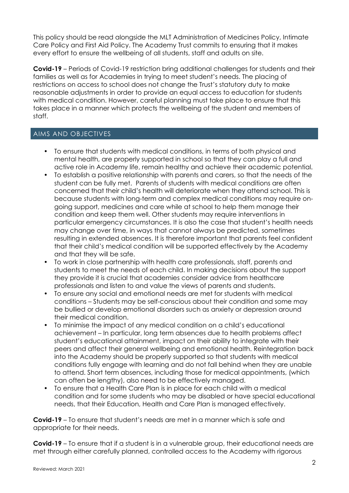This policy should be read alongside the MLT Administration of Medicines Policy, Intimate Care Policy and First Aid Policy. The Academy Trust commits to ensuring that it makes every effort to ensure the wellbeing of all students, staff and adults on site.

**Covid-19** – Periods of Covid-19 restriction bring additional challenges for students and their families as well as for Academies in trying to meet student's needs. The placing of restrictions on access to school does not change the Trust's statutory duty to make reasonable adjustments in order to provide an equal access to education for students with medical condition. However, careful planning must take place to ensure that this takes place in a manner which protects the wellbeing of the student and members of staff.

#### AIMS AND OBJECTIVES

- To ensure that students with medical conditions, in terms of both physical and mental health, are properly supported in school so that they can play a full and active role in Academy life, remain healthy and achieve their academic potential.
- To establish a positive relationship with parents and carers, so that the needs of the student can be fully met. Parents of students with medical conditions are often concerned that their child's health will deteriorate when they attend school. This is because students with long-term and complex medical conditions may require ongoing support, medicines and care while at school to help them manage their condition and keep them well. Other students may require interventions in particular emergency circumstances. It is also the case that student's health needs may change over time, in ways that cannot always be predicted, sometimes resulting in extended absences. It is therefore important that parents feel confident that their child's medical condition will be supported effectively by the Academy and that they will be safe.
- To work in close partnership with health care professionals, staff, parents and students to meet the needs of each child. In making decisions about the support they provide it is crucial that academies consider advice from healthcare professionals and listen to and value the views of parents and students.
- To ensure any social and emotional needs are met for students with medical conditions – Students may be self-conscious about their condition and some may be bullied or develop emotional disorders such as anxiety or depression around their medical condition.
- To minimise the impact of any medical condition on a child's educational achievement – In particular, long term absences due to health problems affect student's educational attainment, impact on their ability to integrate with their peers and affect their general wellbeing and emotional health. Reintegration back into the Academy should be properly supported so that students with medical conditions fully engage with learning and do not fall behind when they are unable to attend. Short term absences, including those for medical appointments, (which can often be lengthy), also need to be effectively managed.
- To ensure that a Health Care Plan is in place for each child with a medical condition and for some students who may be disabled or have special educational needs, that their Education, Health and Care Plan is managed effectively.

**Covid-19** – To ensure that student's needs are met in a manner which is safe and appropriate for their needs.

**Covid-19** – To ensure that if a student is in a vulnerable group, their educational needs are met through either carefully planned, controlled access to the Academy with rigorous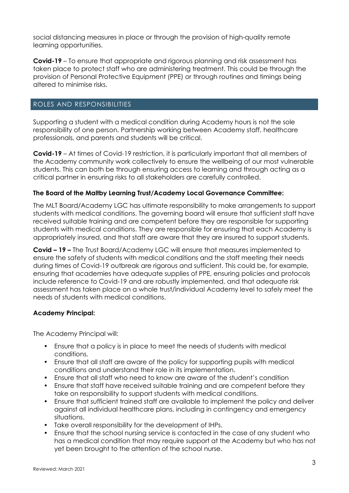social distancing measures in place or through the provision of high-quality remote learning opportunities.

**Covid-19** – To ensure that appropriate and rigorous planning and risk assessment has taken place to protect staff who are administering treatment. This could be through the provision of Personal Protective Equipment (PPE) or through routines and timings being altered to minimise risks.

#### ROLES AND RESPONSIBILITIES

Supporting a student with a medical condition during Academy hours is not the sole responsibility of one person. Partnership working between Academy staff, healthcare professionals, and parents and students will be critical.

**Covid-19** – At times of Covid-19 restriction, it is particularly important that all members of the Academy community work collectively to ensure the wellbeing of our most vulnerable students. This can both be through ensuring access to learning and through acting as a critical partner in ensuring risks to all stakeholders are carefully controlled.

#### **The Board of the Maltby Learning Trust/Academy Local Governance Committee:**

The MLT Board/Academy LGC has ultimate responsibility to make arrangements to support students with medical conditions. The governing board will ensure that sufficient staff have received suitable training and are competent before they are responsible for supporting students with medical conditions. They are responsible for ensuring that each Academy is appropriately insured, and that staff are aware that they are insured to support students.

**Covid – 19 –** The Trust Board/Academy LGC will ensure that measures implemented to ensure the safety of students with medical conditions and the staff meeting their needs during times of Covid-19 outbreak are rigorous and sufficient. This could be, for example, ensuring that academies have adequate supplies of PPE, ensuring policies and protocols include reference to Covid-19 and are robustly implemented, and that adequate risk assessment has taken place on a whole trust/individual Academy level to safely meet the needs of students with medical conditions.

#### **Academy Principal:**

The Academy Principal will:

- Ensure that a policy is in place to meet the needs of students with medical conditions.
- Ensure that all staff are aware of the policy for supporting pupils with medical conditions and understand their role in its implementation.
- Ensure that all staff who need to know are aware of the student's condition
- Ensure that staff have received suitable training and are competent before they take on responsibility to support students with medical conditions.
- Ensure that sufficient trained staff are available to implement the policy and deliver against all individual healthcare plans, including in contingency and emergency situations.
- Take overall responsibility for the development of IHPs.
- Ensure that the school nursing service is contacted in the case of any student who has a medical condition that may require support at the Academy but who has not yet been brought to the attention of the school nurse.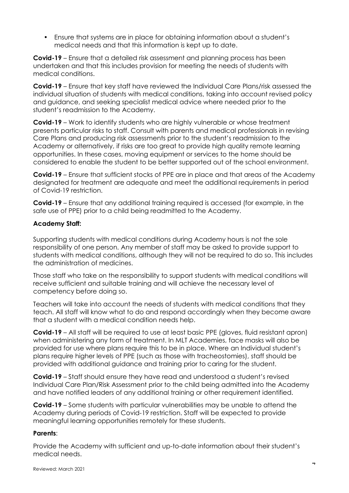• Ensure that systems are in place for obtaining information about a student's medical needs and that this information is kept up to date.

**Covid-19** – Ensure that a detailed risk assessment and planning process has been undertaken and that this includes provision for meeting the needs of students with medical conditions.

**Covid-19** – Ensure that key staff have reviewed the Individual Care Plans/risk assessed the individual situation of students with medical conditions, taking into account revised policy and guidance, and seeking specialist medical advice where needed prior to the student's readmission to the Academy.

**Covid-19** – Work to identify students who are highly vulnerable or whose treatment presents particular risks to staff. Consult with parents and medical professionals in revising Care Plans and producing risk assessments prior to the student's readmission to the Academy or alternatively, if risks are too great to provide high quality remote learning opportunities. In these cases, moving equipment or services to the home should be considered to enable the student to be better supported out of the school environment.

**Covid-19** – Ensure that sufficient stocks of PPE are in place and that areas of the Academy designated for treatment are adequate and meet the additional requirements in period of Covid-19 restriction.

**Covid-19** – Ensure that any additional training required is accessed (for example, in the safe use of PPE) prior to a child being readmitted to the Academy.

#### **Academy Staff:**

Supporting students with medical conditions during Academy hours is not the sole responsibility of one person. Any member of staff may be asked to provide support to students with medical conditions, although they will not be required to do so. This includes the administration of medicines.

Those staff who take on the responsibility to support students with medical conditions will receive sufficient and suitable training and will achieve the necessary level of competency before doing so.

Teachers will take into account the needs of students with medical conditions that they teach. All staff will know what to do and respond accordingly when they become aware that a student with a medical condition needs help.

**Covid-19** – All staff will be required to use at least basic PPE (gloves, fluid resistant apron) when administering any form of treatment. In MLT Academies, face masks will also be provided for use where plans require this to be in place. Where an Individual student's plans require higher levels of PPE (such as those with tracheostomies), staff should be provided with additional guidance and training prior to caring for the student.

**Covid-19** – Staff should ensure they have read and understood a student's revised Individual Care Plan/Risk Assessment prior to the child being admitted into the Academy and have notified leaders of any additional training or other requirement identified.

**Covid-19** – Some students with particular vulnerabilities may be unable to attend the Academy during periods of Covid-19 restriction. Staff will be expected to provide meaningful learning opportunities remotely for these students.

#### **Parents**:

Provide the Academy with sufficient and up-to-date information about their student's medical needs.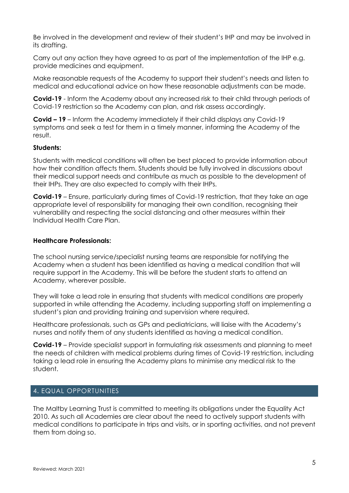Be involved in the development and review of their student's IHP and may be involved in its drafting.

Carry out any action they have agreed to as part of the implementation of the IHP e.g. provide medicines and equipment.

Make reasonable requests of the Academy to support their student's needs and listen to medical and educational advice on how these reasonable adjustments can be made.

**Covid-19** - Inform the Academy about any increased risk to their child through periods of Covid-19 restriction so the Academy can plan, and risk assess accordingly.

**Covid – 19** – Inform the Academy immediately if their child displays any Covid-19 symptoms and seek a test for them in a timely manner, informing the Academy of the result.

#### **Students:**

Students with medical conditions will often be best placed to provide information about how their condition affects them. Students should be fully involved in discussions about their medical support needs and contribute as much as possible to the development of their IHPs. They are also expected to comply with their IHPs.

**Covid-19** – Ensure, particularly during times of Covid-19 restriction, that they take an age appropriate level of responsibility for managing their own condition, recognising their vulnerability and respecting the social distancing and other measures within their Individual Health Care Plan.

#### **Healthcare Professionals:**

The school nursing service/specialist nursing teams are responsible for notifying the Academy when a student has been identified as having a medical condition that will require support in the Academy. This will be before the student starts to attend an Academy, wherever possible.

They will take a lead role in ensuring that students with medical conditions are properly supported in while attending the Academy, including supporting staff on implementing a student's plan and providing training and supervision where required.

Healthcare professionals, such as GPs and pediatricians, will liaise with the Academy's nurses and notify them of any students identified as having a medical condition.

**Covid-19** – Provide specialist support in formulating risk assessments and planning to meet the needs of children with medical problems during times of Covid-19 restriction, including taking a lead role in ensuring the Academy plans to minimise any medical risk to the student.

#### 4**.** EQUAL OPPORTUNITIES

The Maltby Learning Trust is committed to meeting its obligations under the Equality Act 2010. As such all Academies are clear about the need to actively support students with medical conditions to participate in trips and visits, or in sporting activities, and not prevent them from doing so.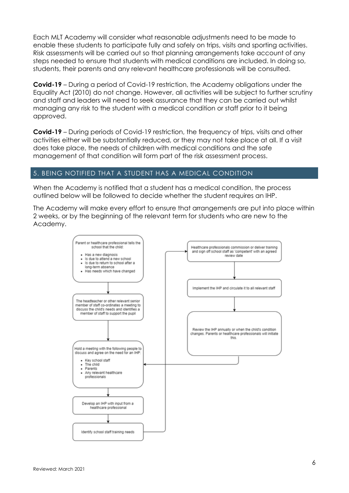Each MLT Academy will consider what reasonable adjustments need to be made to enable these students to participate fully and safely on trips, visits and sporting activities. Risk assessments will be carried out so that planning arrangements take account of any steps needed to ensure that students with medical conditions are included. In doing so, students, their parents and any relevant healthcare professionals will be consulted.

**Covid-19** – During a period of Covid-19 restriction, the Academy obligations under the Equality Act (2010) do not change. However, all activities will be subject to further scrutiny and staff and leaders will need to seek assurance that they can be carried out whilst managing any risk to the student with a medical condition or staff prior to it being approved.

**Covid-19** – During periods of Covid-19 restriction, the frequency of trips, visits and other activities either will be substantially reduced, or they may not take place at all. If a visit does take place, the needs of children with medical conditions and the safe management of that condition will form part of the risk assessment process.

#### 5. BEING NOTIFIED THAT A STUDENT HAS A MEDICAL CONDITION

When the Academy is notified that a student has a medical condition, the process outlined below will be followed to decide whether the student requires an IHP.

The Academy will make every effort to ensure that arrangements are put into place within 2 weeks, or by the beginning of the relevant term for students who are new to the Academy.

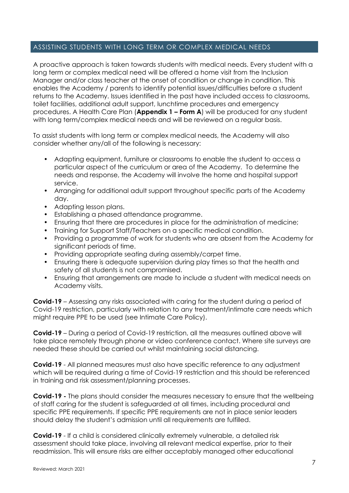#### ASSISTING STUDENTS WITH LONG TERM OR COMPLEX MEDICAL NEEDS

A proactive approach is taken towards students with medical needs. Every student with a long term or complex medical need will be offered a home visit from the Inclusion Manager and/or class teacher at the onset of condition or change in condition. This enables the Academy / parents to identify potential issues/difficulties before a student returns to the Academy. Issues identified in the past have included access to classrooms, toilet facilities, additional adult support, lunchtime procedures and emergency procedures. A Health Care Plan (**Appendix 1 – Form A**) will be produced for any student with long term/complex medical needs and will be reviewed on a regular basis.

To assist students with long term or complex medical needs, the Academy will also consider whether any/all of the following is necessary:

- Adapting equipment, furniture or classrooms to enable the student to access a particular aspect of the curriculum or area of the Academy. To determine the needs and response, the Academy will involve the home and hospital support service.
- Arranging for additional adult support throughout specific parts of the Academy day.
- Adapting lesson plans.
- Establishing a phased attendance programme.
- Ensuring that there are procedures in place for the administration of medicine;
- Training for Support Staff/Teachers on a specific medical condition.
- Providing a programme of work for students who are absent from the Academy for significant periods of time.
- Providing appropriate seating during assembly/carpet time.
- Ensuring there is adequate supervision during play times so that the health and safety of all students is not compromised.
- Ensuring that arrangements are made to include a student with medical needs on Academy visits.

**Covid-19** – Assessing any risks associated with caring for the student during a period of Covid-19 restriction, particularly with relation to any treatment/intimate care needs which might require PPE to be used (see Intimate Care Policy).

**Covid-19** – During a period of Covid-19 restriction, all the measures outlined above will take place remotely through phone or video conference contact. Where site surveys are needed these should be carried out whilst maintaining social distancing.

**Covid-19** - All planned measures must also have specific reference to any adjustment which will be required during a time of Covid-19 restriction and this should be referenced in training and risk assessment/planning processes.

**Covid-19 -** The plans should consider the measures necessary to ensure that the wellbeing of staff caring for the student is safeguarded at all times, including procedural and specific PPE requirements. If specific PPE requirements are not in place senior leaders should delay the student's admission until all requirements are fulfilled.

**Covid-19** - If a child is considered clinically extremely vulnerable, a detailed risk assessment should take place, involving all relevant medical expertise, prior to their readmission. This will ensure risks are either acceptably managed other educational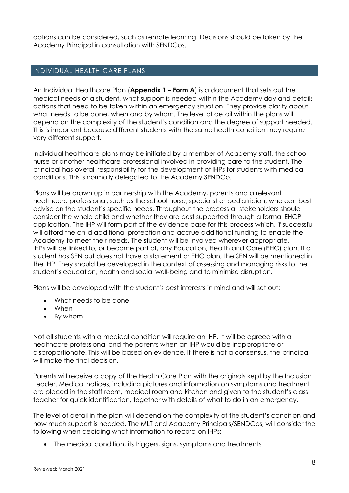options can be considered, such as remote learning. Decisions should be taken by the Academy Principal in consultation with SENDCos.

#### INDIVIDUAL HEALTH CARE PLANS

An Individual Healthcare Plan (**Appendix 1 – Form A**) is a document that sets out the medical needs of a student, what support is needed within the Academy day and details actions that need to be taken within an emergency situation. They provide clarity about what needs to be done, when and by whom. The level of detail within the plans will depend on the complexity of the student's condition and the degree of support needed. This is important because different students with the same health condition may require very different support.

Individual healthcare plans may be initiated by a member of Academy staff, the school nurse or another healthcare professional involved in providing care to the student. The principal has overall responsibility for the development of IHPs for students with medical conditions. This is normally delegated to the Academy SENDCo.

Plans will be drawn up in partnership with the Academy, parents and a relevant healthcare professional, such as the school nurse, specialist or pediatrician, who can best advise on the student's specific needs. Throughout the process all stakeholders should consider the whole child and whether they are best supported through a formal EHCP application. The IHP will form part of the evidence base for this process which, if successful will afford the child additional protection and accrue additional funding to enable the Academy to meet their needs. The student will be involved wherever appropriate. IHPs will be linked to, or become part of, any Education, Health and Care (EHC) plan. If a student has SEN but does not have a statement or EHC plan, the SEN will be mentioned in the IHP. They should be developed in the context of assessing and managing risks to the student's education, health and social well-being and to minimise disruption.

Plans will be developed with the student's best interests in mind and will set out:

- What needs to be done
- When
- By whom

Not all students with a medical condition will require an IHP. It will be agreed with a healthcare professional and the parents when an IHP would be inappropriate or disproportionate. This will be based on evidence. If there is not a consensus, the principal will make the final decision.

Parents will receive a copy of the Health Care Plan with the originals kept by the Inclusion Leader. Medical notices, including pictures and information on symptoms and treatment are placed in the staff room, medical room and kitchen and given to the student's class teacher for quick identification, together with details of what to do in an emergency.

The level of detail in the plan will depend on the complexity of the student's condition and how much support is needed. The MLT and Academy Principals/SENDCos, will consider the following when deciding what information to record on IHPs:

• The medical condition, its triggers, signs, symptoms and treatments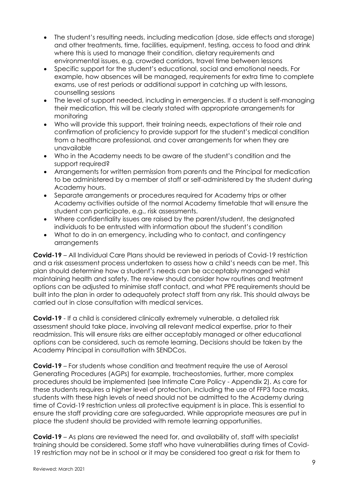- The student's resulting needs, including medication (dose, side effects and storage) and other treatments, time, facilities, equipment, testing, access to food and drink where this is used to manage their condition, dietary requirements and environmental issues, e.g. crowded corridors, travel time between lessons
- Specific support for the student's educational, social and emotional needs. For example, how absences will be managed, requirements for extra time to complete exams, use of rest periods or additional support in catching up with lessons, counselling sessions
- The level of support needed, including in emergencies. If a student is self-managing their medication, this will be clearly stated with appropriate arrangements for monitoring
- Who will provide this support, their training needs, expectations of their role and confirmation of proficiency to provide support for the student's medical condition from a healthcare professional, and cover arrangements for when they are unavailable
- Who in the Academy needs to be aware of the student's condition and the support required?
- Arrangements for written permission from parents and the Principal for medication to be administered by a member of staff or self-administered by the student during Academy hours.
- Separate arrangements or procedures required for Academy trips or other Academy activities outside of the normal Academy timetable that will ensure the student can participate, e.g., risk assessments.
- Where confidentiality issues are raised by the parent/student, the designated individuals to be entrusted with information about the student's condition
- What to do in an emergency, including who to contact, and contingency arrangements

**Covid-19** – All Individual Care Plans should be reviewed in periods of Covid-19 restriction and a risk assessment process undertaken to assess how a child's needs can be met. This plan should determine how a student's needs can be acceptably managed whist maintaining health and safety. The review should consider how routines and treatment options can be adjusted to minimise staff contact, and what PPE requirements should be built into the plan in order to adequately protect staff from any risk. This should always be carried out in close consultation with medical services.

**Covid-19** - If a child is considered clinically extremely vulnerable, a detailed risk assessment should take place, involving all relevant medical expertise, prior to their readmission. This will ensure risks are either acceptably managed or other educational options can be considered, such as remote learning. Decisions should be taken by the Academy Principal in consultation with SENDCos.

**Covid-19** – For students whose condition and treatment require the use of Aerosol Generating Procedures (AGPs) for example, tracheostomies, further, more complex procedures should be implemented (see Intimate Care Policy - Appendix 2). As care for these students requires a higher level of protection, including the use of FFP3 face masks, students with these high levels of need should not be admitted to the Academy during time of Covid-19 restriction unless all protective equipment is in place. This is essential to ensure the staff providing care are safeguarded. While appropriate measures are put in place the student should be provided with remote learning opportunities.

**Covid-19** – As plans are reviewed the need for, and availability of, staff with specialist training should be considered. Some staff who have vulnerabilities during times of Covid-19 restriction may not be in school or it may be considered too great a risk for them to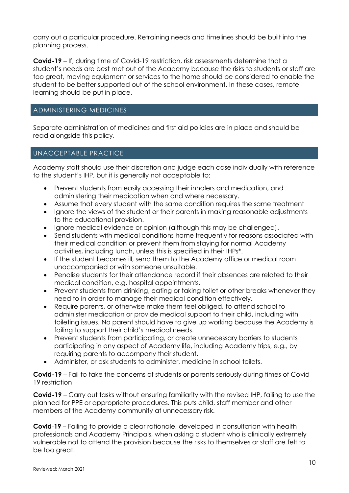carry out a particular procedure. Retraining needs and timelines should be built into the planning process.

**Covid-19** – If, during time of Covid-19 restriction, risk assessments determine that a student's needs are best met out of the Academy because the risks to students or staff are too great, moving equipment or services to the home should be considered to enable the student to be better supported out of the school environment. In these cases, remote learning should be put in place.

#### ADMINISTERING MEDICINES

Separate administration of medicines and first aid policies are in place and should be read alongside this policy.

#### UNACCEPTABLE PRACTICE

Academy staff should use their discretion and judge each case individually with reference to the student's IHP, but it is generally not acceptable to:

- Prevent students from easily accessing their inhalers and medication, and administering their medication when and where necessary.
- Assume that every student with the same condition requires the same treatment
- Ignore the views of the student or their parents in making reasonable adjustments to the educational provision.
- Ignore medical evidence or opinion (although this may be challenged).
- Send students with medical conditions home frequently for reasons associated with their medical condition or prevent them from staying for normal Academy activities, including lunch, unless this is specified in their IHPs\*.
- If the student becomes ill, send them to the Academy office or medical room unaccompanied or with someone unsuitable.
- Penalise students for their attendance record if their absences are related to their medical condition, e.g. hospital appointments.
- Prevent students from drinking, eating or taking toilet or other breaks whenever they need to in order to manage their medical condition effectively.
- Require parents, or otherwise make them feel obliged, to attend school to administer medication or provide medical support to their child, including with toileting issues. No parent should have to give up working because the Academy is failing to support their child's medical needs.
- Prevent students from participating, or create unnecessary barriers to students participating in any aspect of Academy life, including Academy trips, e.g., by requiring parents to accompany their student.
- Administer, or ask students to administer, medicine in school toilets.

**Covid-19** – Fail to take the concerns of students or parents seriously during times of Covid-19 restriction

**Covid-19** – Carry out tasks without ensuring familiarity with the revised IHP, failing to use the planned for PPE or appropriate procedures. This puts child, staff member and other members of the Academy community at unnecessary risk.

**Covid**-**19** – Failing to provide a clear rationale, developed in consultation with health professionals and Academy Principals, when asking a student who is clinically extremely vulnerable not to attend the provision because the risks to themselves or staff are felt to be too great.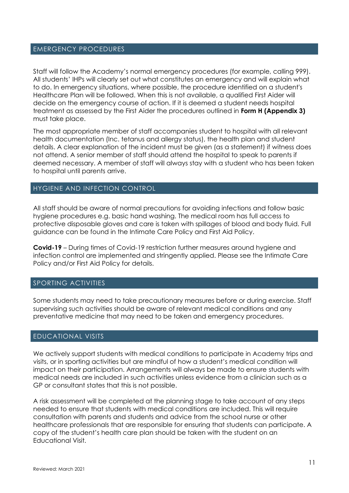#### EMERGENCY PROCEDURES

Staff will follow the Academy's normal emergency procedures (for example, calling 999). All students' IHPs will clearly set out what constitutes an emergency and will explain what to do. In emergency situations, where possible, the procedure identified on a student's Healthcare Plan will be followed. When this is not available, a qualified First Aider will decide on the emergency course of action. If it is deemed a student needs hospital treatment as assessed by the First Aider the procedures outlined in **Form H (Appendix 3)** must take place.

The most appropriate member of staff accompanies student to hospital with all relevant health documentation (Inc. tetanus and allergy status), the health plan and student details. A clear explanation of the incident must be given (as a statement) if witness does not attend. A senior member of staff should attend the hospital to speak to parents if deemed necessary. A member of staff will always stay with a student who has been taken to hospital until parents arrive.

#### HYGIENE AND INFECTION CONTROL

All staff should be aware of normal precautions for avoiding infections and follow basic hygiene procedures e.g. basic hand washing. The medical room has full access to protective disposable gloves and care is taken with spillages of blood and body fluid. Full guidance can be found in the Intimate Care Policy and First Aid Policy.

**Covid-19** – During times of Covid-19 restriction further measures around hygiene and infection control are implemented and stringently applied. Please see the Intimate Care Policy and/or First Aid Policy for details.

#### SPORTING ACTIVITIES

Some students may need to take precautionary measures before or during exercise. Staff supervising such activities should be aware of relevant medical conditions and any preventative medicine that may need to be taken and emergency procedures.

#### EDUCATIONAL VISITS

We actively support students with medical conditions to participate in Academy trips and visits, or in sporting activities but are mindful of how a student's medical condition will impact on their participation. Arrangements will always be made to ensure students with medical needs are included in such activities unless evidence from a clinician such as a GP or consultant states that this is not possible.

A risk assessment will be completed at the planning stage to take account of any steps needed to ensure that students with medical conditions are included. This will require consultation with parents and students and advice from the school nurse or other healthcare professionals that are responsible for ensuring that students can participate. A copy of the student's health care plan should be taken with the student on an Educational Visit.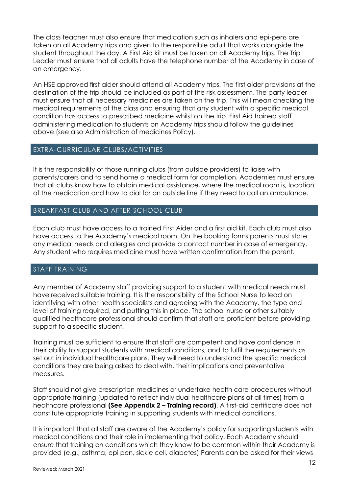The class teacher must also ensure that medication such as inhalers and epi-pens are taken on all Academy trips and given to the responsible adult that works alongside the student throughout the day. A First Aid kit must be taken on all Academy trips. The Trip Leader must ensure that all adults have the telephone number of the Academy in case of an emergency.

An HSE approved first aider should attend all Academy trips. The first aider provisions at the destination of the trip should be included as part of the risk assessment. The party leader must ensure that all necessary medicines are taken on the trip. This will mean checking the medical requirements of the class and ensuring that any student with a specific medical condition has access to prescribed medicine whilst on the trip. First Aid trained staff administering medication to students on Academy trips should follow the guidelines above (see also Administration of medicines Policy).

#### EXTRA-CURRICULAR CLUBS/ACTIVITIES

It is the responsibility of those running clubs (from outside providers) to liaise with parents/carers and to send home a medical form for completion. Academies must ensure that all clubs know how to obtain medical assistance, where the medical room is, location of the medication and how to dial for an outside line if they need to call an ambulance.

#### BREAKFAST CLUB AND AFTER SCHOOL CLUB

Each club must have access to a trained First Aider and a first aid kit. Each club must also have access to the Academy's medical room. On the booking forms parents must state any medical needs and allergies and provide a contact number in case of emergency. Any student who requires medicine must have written confirmation from the parent.

#### STAFF TRAINING

Any member of Academy staff providing support to a student with medical needs must have received suitable training. It is the responsibility of the School Nurse to lead on identifying with other health specialists and agreeing with the Academy, the type and level of training required, and putting this in place. The school nurse or other suitably qualified healthcare professional should confirm that staff are proficient before providing support to a specific student.

Training must be sufficient to ensure that staff are competent and have confidence in their ability to support students with medical conditions, and to fulfil the requirements as set out in individual healthcare plans. They will need to understand the specific medical conditions they are being asked to deal with, their implications and preventative measures.

Staff should not give prescription medicines or undertake health care procedures without appropriate training (updated to reflect individual healthcare plans at all times) from a healthcare professional **(See Appendix 2 – Training record)**. A first-aid certificate does not constitute appropriate training in supporting students with medical conditions.

It is important that all staff are aware of the Academy's policy for supporting students with medical conditions and their role in implementing that policy. Each Academy should ensure that training on conditions which they know to be common within their Academy is provided (e.g., asthma, epi pen, sickle cell, diabetes) Parents can be asked for their views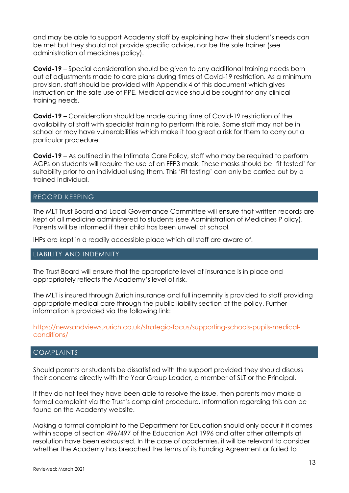and may be able to support Academy staff by explaining how their student's needs can be met but they should not provide specific advice, nor be the sole trainer (see administration of medicines policy).

**Covid-19** – Special consideration should be given to any additional training needs born out of adjustments made to care plans during times of Covid-19 restriction. As a minimum provision, staff should be provided with Appendix 4 of this document which gives instruction on the safe use of PPE. Medical advice should be sought for any clinical training needs.

**Covid-19** – Consideration should be made during time of Covid-19 restriction of the availability of staff with specialist training to perform this role. Some staff may not be in school or may have vulnerabilities which make it too great a risk for them to carry out a particular procedure.

**Covid-19** – As outlined in the Intimate Care Policy, staff who may be required to perform AGPs on students will require the use of an FFP3 mask. These masks should be 'fit tested' for suitability prior to an individual using them. This 'Fit testing' can only be carried out by a trained individual.

#### RECORD KEEPING

The MLT Trust Board and Local Governance Committee will ensure that written records are kept of all medicine administered to students (see Administration of Medicines P olicy). Parents will be informed if their child has been unwell at school.

IHPs are kept in a readily accessible place which all staff are aware of.

#### LIABILITY AND INDEMNITY

The Trust Board will ensure that the appropriate level of insurance is in place and appropriately reflects the Academy's level of risk.

The MLT is insured through Zurich insurance and full indemnity is provided to staff providing appropriate medical care through the public liability section of the policy. Further information is provided via the following link:

#### https://newsandviews.zurich.co.uk/strategic-focus/supporting-schools-pupils-medicalconditions/

#### COMPLAINTS

Should parents or students be dissatisfied with the support provided they should discuss their concerns directly with the Year Group Leader, a member of SLT or the Principal.

If they do not feel they have been able to resolve the issue, then parents may make a formal complaint via the Trust's complaint procedure. Information regarding this can be found on the Academy website.

Making a formal complaint to the Department for Education should only occur if it comes within scope of section 496/497 of the Education Act 1996 and after other attempts at resolution have been exhausted. In the case of academies, it will be relevant to consider whether the Academy has breached the terms of its Funding Agreement or failed to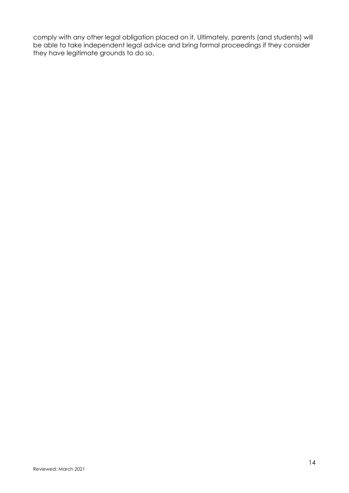comply with any other legal obligation placed on it. Ultimately, parents (and students) will be able to take independent legal advice and bring formal proceedings if they consider they have legitimate grounds to do so.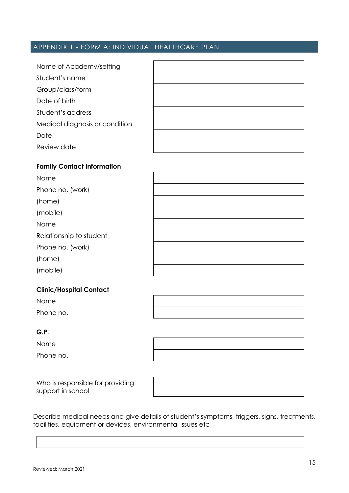### APPENDIX 1 - FORM A: INDIVIDUAL HEALTHCARE PLAN

| Name of Academy/setting        |  |
|--------------------------------|--|
| Student's name                 |  |
| Group/class/form               |  |
| Date of birth                  |  |
| Student's address              |  |
| Medical diagnosis or condition |  |
| Date                           |  |
| Review date                    |  |

#### **Family Contact Information**

| Name                    |  |
|-------------------------|--|
| Phone no. (work)        |  |
| (home)                  |  |
| (mobile)                |  |
| Name                    |  |
| Relationship to student |  |
| Phone no. (work)        |  |
| (home)                  |  |
| (mobile)                |  |

#### **Clinic/Hospital Contact**

Name Phone no.

#### **G.P.**

Name

Phone no.

Who is responsible for providing support in school

Describe medical needs and give details of student's symptoms, triggers, signs, treatments, facilities, equipment or devices, environmental issues etc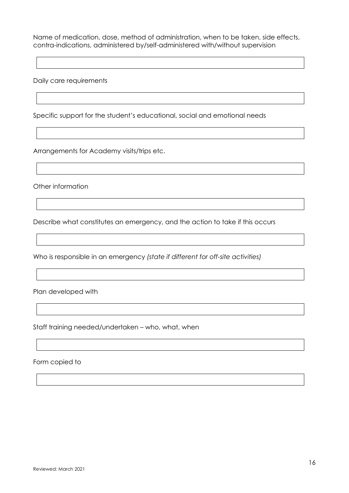Name of medication, dose, method of administration, when to be taken, side effects, contra-indications, administered by/self-administered with/without supervision

Daily care requirements

Specific support for the student's educational, social and emotional needs

Arrangements for Academy visits/trips etc.

Other information

Describe what constitutes an emergency, and the action to take if this occurs

Who is responsible in an emergency *(state if different for off-site activities)*

Plan developed with

Staff training needed/undertaken – who, what, when

Form copied to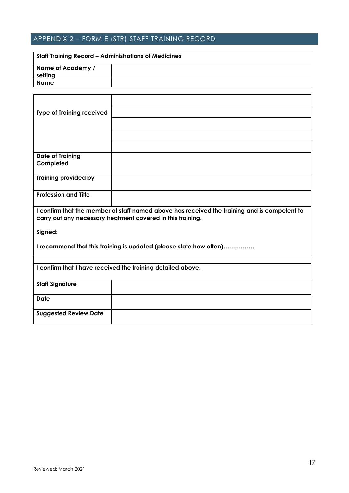## APPENDIX 2 – FORM E (STR) STAFF TRAINING RECORD

| <b>Staff Training Record – Administrations of Medicines</b> |  |  |
|-------------------------------------------------------------|--|--|
| Name of Academy /                                           |  |  |
| setting                                                     |  |  |
| Name                                                        |  |  |

| <b>Type of Training received</b>                                                                                                                            |  |  |
|-------------------------------------------------------------------------------------------------------------------------------------------------------------|--|--|
|                                                                                                                                                             |  |  |
|                                                                                                                                                             |  |  |
|                                                                                                                                                             |  |  |
| <b>Date of Training</b>                                                                                                                                     |  |  |
| Completed                                                                                                                                                   |  |  |
| <b>Training provided by</b>                                                                                                                                 |  |  |
| <b>Profession and Title</b>                                                                                                                                 |  |  |
| I confirm that the member of staff named above has received the training and is competent to<br>carry out any necessary treatment covered in this training. |  |  |
| Signed:                                                                                                                                                     |  |  |
| I recommend that this training is updated (please state how often)                                                                                          |  |  |
|                                                                                                                                                             |  |  |
| I confirm that I have received the training detailed above.                                                                                                 |  |  |
| <b>Staff Signature</b>                                                                                                                                      |  |  |
| <b>Date</b>                                                                                                                                                 |  |  |
| <b>Suggested Review Date</b>                                                                                                                                |  |  |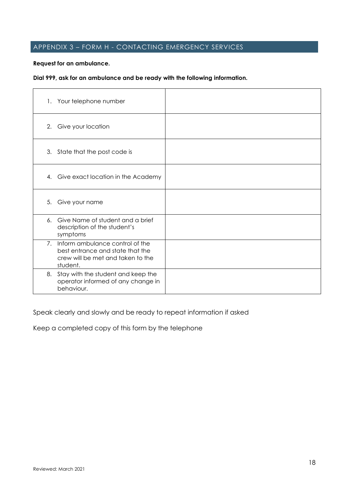## APPENDIX 3 – FORM H - CONTACTING EMERGENCY SERVICES

#### **Request for an ambulance.**

#### **Dial 999, ask for an ambulance and be ready with the following information.**

| 1. Your telephone number                                                                                                |  |
|-------------------------------------------------------------------------------------------------------------------------|--|
| 2. Give your location                                                                                                   |  |
| 3. State that the post code is                                                                                          |  |
| Give exact location in the Academy<br>4.                                                                                |  |
| 5. Give your name                                                                                                       |  |
| 6. Give Name of student and a brief<br>description of the student's<br>symptoms                                         |  |
| 7. Inform ambulance control of the<br>best entrance and state that the<br>crew will be met and taken to the<br>student. |  |
| 8. Stay with the student and keep the<br>operator informed of any change in<br>behaviour.                               |  |

Speak clearly and slowly and be ready to repeat information if asked

Keep a completed copy of this form by the telephone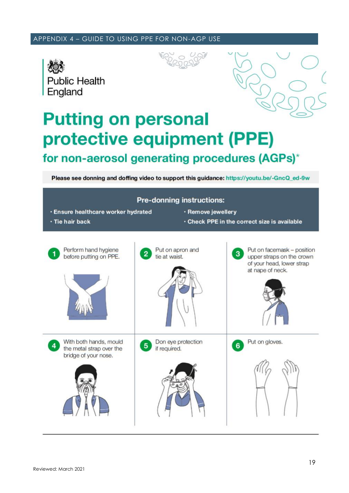#### APPENDIX 4 – GUIDE TO USING PPE FOR NON-AGP USE







# **Putting on personal** protective equipment (PPE) for non-aerosol generating procedures (AGPs)\*

Please see donning and doffing video to support this guidance: https://youtu.be/-GncQ\_ed-9w